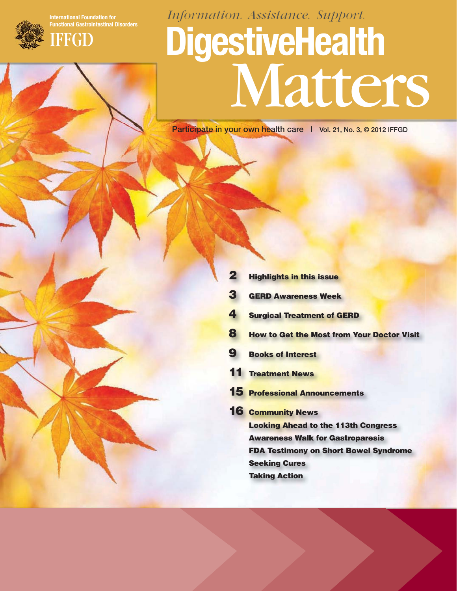**International Foundation for Functional Gastrointestinal Disorders**



## **RGI**

# *Information. Assistance. Support.* **DigestiveHealth** Matters

Participate in your own health care | Vol. 21, No. 3, © 2012 IFFGD

| 2 | <b>Highlights in this issue</b>                   |
|---|---------------------------------------------------|
| 3 | <b>GERD Awareness Week</b>                        |
| 4 | <b>Surgical Treatment of GERD</b>                 |
| 8 | <b>How to Get the Most from Your Doctor Visit</b> |
| 9 | <b>Books of Interest</b>                          |
|   | <b>11 Treatment News</b>                          |
|   | <b>15 Professional Announcements</b>              |
|   | <b>16 Community News</b>                          |
|   | <b>Looking Ahead to the 113th Congress</b>        |
|   | <b>Awareness Walk for Gastroparesis</b>           |
|   | <b>FDA Testimony on Short Bowel Syndrome</b>      |
|   | <b>Seeking Cures</b>                              |
|   | <b>Taking Action</b>                              |
|   |                                                   |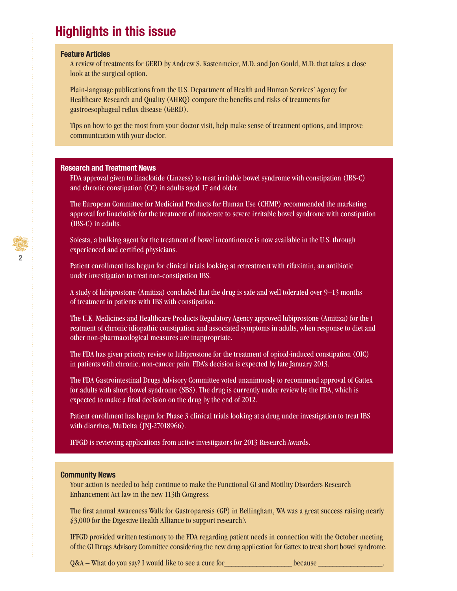## **Highlights in this issue**

#### **Feature Articles**

**2**

A review of treatments for GERD by Andrew S. Kastenmeier, M.D. and Jon Gould, M.D. that takes a close look at the surgical option.

Plain-language publications from the U.S. Department of Health and Human Services' Agency for Healthcare Research and Quality (AHRQ) compare the benefits and risks of treatments for gastroesophageal reflux disease (GERD).

Tips on how to get the most from your doctor visit, help make sense of treatment options, and improve communication with your doctor.

#### **Research and Treatment News**

FDA approval given to linaclotide (Linzess) to treat irritable bowel syndrome with constipation (IBS-C) and chronic constipation (CC) in adults aged 17 and older.

The European Committee for Medicinal Products for Human Use (CHMP) recommended the marketing approval for linaclotide for the treatment of moderate to severe irritable bowel syndrome with constipation (IBS-C) in adults.

Solesta, a bulking agent for the treatment of bowel incontinence is now available in the U.S. through experienced and certified physicians.

Patient enrollment has begun for clinical trials looking at retreatment with rifaximin, an antibiotic under investigation to treat non-constipation IBS.

A study of lubiprostone (Amitiza) concluded that the drug is safe and well tolerated over 9–13 months of treatment in patients with IBS with constipation.

The U.K. Medicines and Healthcare Products Regulatory Agency approved lubiprostone (Amitiza) for the t reatment of chronic idiopathic constipation and associated symptoms in adults, when response to diet and other non-pharmacological measures are inappropriate.

The FDA has given priority review to lubiprostone for the treatment of opioid-induced constipation (OIC) in patients with chronic, non-cancer pain. FDA's decision is expected by late January 2013.

The FDA Gastrointestinal Drugs Advisory Committee voted unanimously to recommend approval of Gattex for adults with short bowel syndrome (SBS). The drug is currently under review by the FDA, which is expected to make a final decision on the drug by the end of 2012.

Patient enrollment has begun for Phase 3 clinical trials looking at a drug under investigation to treat IBS with diarrhea, MuDelta (JNJ-27018966).

IFFGD is reviewing applications from active investigators for 2013 Research Awards.

#### **Community News**

Your action is needed to help continue to make the Functional GI and Motility Disorders Research Enhancement Act law in the new 113th Congress.

The first annual Awareness Walk for Gastroparesis (GP) in Bellingham, WA was a great success raising nearly \$3,000 for the Digestive Health Alliance to support research.\

IFFGD provided written testimony to the FDA regarding patient needs in connection with the October meeting of the GI Drugs Advisory Committee considering the new drug application for Gattex to treat short bowel syndrome.

Q&A – What do you say? I would like to see a cure for because because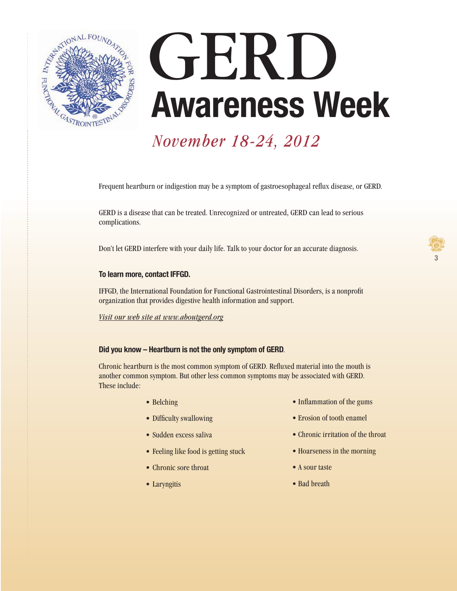

# GERD **Awareness Week**

## *November 18-24, 2012*

Frequent heartburn or indigestion may be a symptom of gastroesophageal reflux disease, or GERD.

GERD is a disease that can be treated. Unrecognized or untreated, GERD can lead to serious complications.

Don't let GERD interfere with your daily life. Talk to your doctor for an accurate diagnosis.

#### **To learn more, contact IFFGD.**

IFFGD, the International Foundation for Functional Gastrointestinal Disorders, is a nonprofit organization that provides digestive health information and support.

*Visit our web site at www.aboutgerd.org*

#### **Did you know – Heartburn is not the only symptom of GERD**.

Chronic heartburn is the most common symptom of GERD. Refluxed material into the mouth is another common symptom. But other less common symptoms may be associated with GERD. These include:

- Belching
- Difficulty swallowing
- Sudden excess saliva
- Feeling like food is getting stuck
- Chronic sore throat
- Laryngitis
- Inflammation of the gums
- Erosion of tooth enamel
- Chronic irritation of the throat
- Hoarseness in the morning
- A sour taste
- Bad breath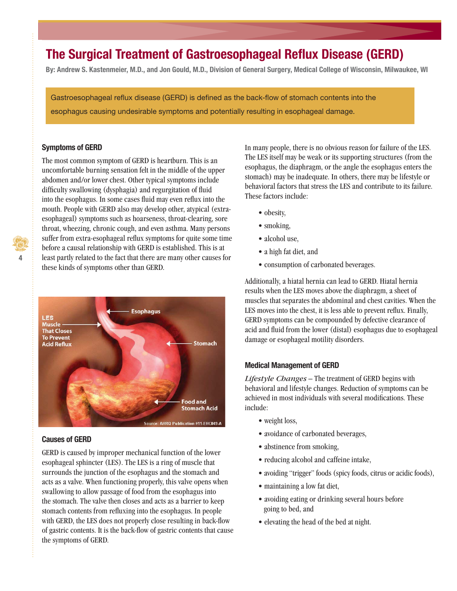## **The Surgical Treatment of Gastroesophageal Reflux Disease (GERD)**

**By: Andrew S. Kastenmeier, M.D., and Jon Gould, M.D., Division of General Surgery, Medical College of Wisconsin, Milwaukee, WI**

Gastroesophageal reflux disease (GERD) is defined as the back-flow of stomach contents into the esophagus causing undesirable symptoms and potentially resulting in esophageal damage.

#### **Symptoms of GERD**

**4**

The most common symptom of GERD is heartburn. This is an uncomfortable burning sensation felt in the middle of the upper abdomen and/or lower chest. Other typical symptoms include difficulty swallowing (dysphagia) and regurgitation of fluid into the esophagus. In some cases fluid may even reflux into the mouth. People with GERD also may develop other, atypical (extraesophageal) symptoms such as hoarseness, throat-clearing, sore throat, wheezing, chronic cough, and even asthma. Many persons suffer from extra-esophageal reflux symptoms for quite some time before a causal relationship with GERD is established. This is at least partly related to the fact that there are many other causes for these kinds of symptoms other than GERD.



#### **Causes of GERD**

GERD is caused by improper mechanical function of the lower esophageal sphincter (LES). The LES is a ring of muscle that surrounds the junction of the esophagus and the stomach and acts as a valve. When functioning properly, this valve opens when swallowing to allow passage of food from the esophagus into the stomach. The valve then closes and acts as a barrier to keep stomach contents from refluxing into the esophagus. In people with GERD, the LES does not properly close resulting in back-flow of gastric contents. It is the back-flow of gastric contents that cause the symptoms of GERD.

In many people, there is no obvious reason for failure of the LES. The LES itself may be weak or its supporting structures (from the esophagus, the diaphragm, or the angle the esophagus enters the stomach) may be inadequate. In others, there may be lifestyle or behavioral factors that stress the LES and contribute to its failure. These factors include:

- obesity,
- smoking,
- alcohol use,
- a high fat diet, and
- consumption of carbonated beverages.

Additionally, a hiatal hernia can lead to GERD. Hiatal hernia results when the LES moves above the diaphragm, a sheet of muscles that separates the abdominal and chest cavities. When the LES moves into the chest, it is less able to prevent reflux. Finally, GERD symptoms can be compounded by defective clearance of acid and fluid from the lower (distal) esophagus due to esophageal damage or esophageal motility disorders.

#### **Medical Management of GERD**

*Lifestyle Changes* – The treatment of GERD begins with behavioral and lifestyle changes. Reduction of symptoms can be achieved in most individuals with several modifications. These include:

- weight loss.
- avoidance of carbonated beverages,
- abstinence from smoking,
- reducing alcohol and caffeine intake,
- avoiding "trigger" foods (spicy foods, citrus or acidic foods),
- maintaining a low fat diet,
- avoiding eating or drinking several hours before going to bed, and
- elevating the head of the bed at night.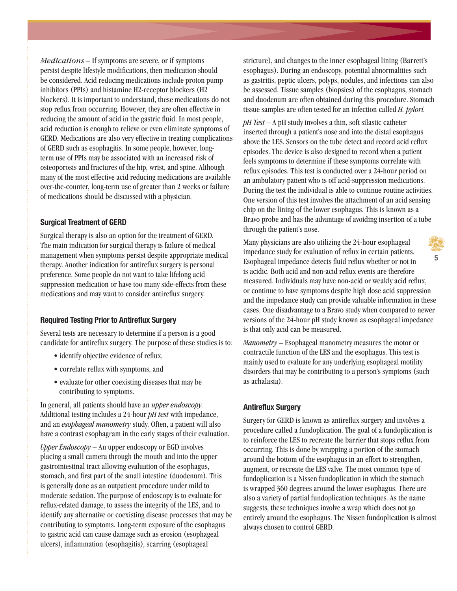*Medications* – If symptoms are severe, or if symptoms persist despite lifestyle modifications, then medication should be considered. Acid reducing medications include proton pump inhibitors (PPIs) and histamine H2-receptor blockers (H2 blockers). It is important to understand, these medications do not stop reflux from occurring. However, they are often effective in reducing the amount of acid in the gastric fluid. In most people, acid reduction is enough to relieve or even eliminate symptoms of GERD. Medications are also very effective in treating complications of GERD such as esophagitis. In some people, however, longterm use of PPIs may be associated with an increased risk of osteoporosis and fractures of the hip, wrist, and spine. Although many of the most effective acid reducing medications are available over-the-counter, long-term use of greater than 2 weeks or failure of medications should be discussed with a physician.

#### **Surgical Treatment of GERD**

Surgical therapy is also an option for the treatment of GERD. The main indication for surgical therapy is failure of medical management when symptoms persist despite appropriate medical therapy. Another indication for antireflux surgery is personal preference. Some people do not want to take lifelong acid suppression medication or have too many side-effects from these medications and may want to consider antireflux surgery.

#### **Required Testing Prior to Antireflux Surgery**

Several tests are necessary to determine if a person is a good candidate for antireflux surgery. The purpose of these studies is to:

- identify objective evidence of reflux,
- correlate reflux with symptoms, and
- evaluate for other coexisting diseases that may be contributing to symptoms.

In general, all patients should have an *upper endoscopy*. Additional testing includes a 24-hour *pH test* with impedance, and an *esophageal manometry* study. Often, a patient will also have a contrast esophagram in the early stages of their evaluation.

*Upper Endoscopy –* An upper endoscopy or EGD involves placing a small camera through the mouth and into the upper gastrointestinal tract allowing evaluation of the esophagus, stomach, and first part of the small intestine (duodenum). This is generally done as an outpatient procedure under mild to moderate sedation. The purpose of endoscopy is to evaluate for reflux-related damage, to assess the integrity of the LES, and to identify any alternative or coexisting disease processes that may be contributing to symptoms. Long-term exposure of the esophagus to gastric acid can cause damage such as erosion (esophageal ulcers), inflammation (esophagitis), scarring (esophageal

stricture), and changes to the inner esophageal lining (Barrett's esophagus). During an endoscopy, potential abnormalities such as gastritis, peptic ulcers, polyps, nodules, and infections can also be assessed. Tissue samples (biopsies) of the esophagus, stomach and duodenum are often obtained during this procedure. Stomach tissue samples are often tested for an infection called *H. pylori.*

*pH Test –* A pH study involves a thin, soft silastic catheter inserted through a patient's nose and into the distal esophagus above the LES. Sensors on the tube detect and record acid reflux episodes. The device is also designed to record when a patient feels symptoms to determine if these symptoms correlate with reflux episodes. This test is conducted over a 24-hour period on an ambulatory patient who is off acid-suppression medications. During the test the individual is able to continue routine activities. One version of this test involves the attachment of an acid sensing chip on the lining of the lower esophagus. This is known as a Bravo probe and has the advantage of avoiding insertion of a tube through the patient's nose.

**5** Many physicians are also utilizing the 24-hour esophageal impedance study for evaluation of reflux in certain patients. Esophageal impedance detects fluid reflux whether or not in is acidic. Both acid and non-acid reflux events are therefore measured. Individuals may have non-acid or weakly acid reflux, or continue to have symptoms despite high dose acid suppression and the impedance study can provide valuable information in these cases. One disadvantage to a Bravo study when compared to newer versions of the 24-hour pH study known as esophageal impedance is that only acid can be measured.

*Manometry –* Esophageal manometry measures the motor or contractile function of the LES and the esophagus. This test is mainly used to evaluate for any underlying esophageal motility disorders that may be contributing to a person's symptoms (such as achalasia).

#### **Antireflux Surgery**

Surgery for GERD is known as antireflux surgery and involves a procedure called a fundoplication. The goal of a fundoplication is to reinforce the LES to recreate the barrier that stops reflux from occurring. This is done by wrapping a portion of the stomach around the bottom of the esophagus in an effort to strengthen, augment, or recreate the LES valve. The most common type of fundoplication is a Nissen fundoplication in which the stomach is wrapped 360 degrees around the lower esophagus. There are also a variety of partial fundoplication techniques. As the name suggests, these techniques involve a wrap which does not go entirely around the esophagus. The Nissen fundoplication is almost always chosen to control GERD.

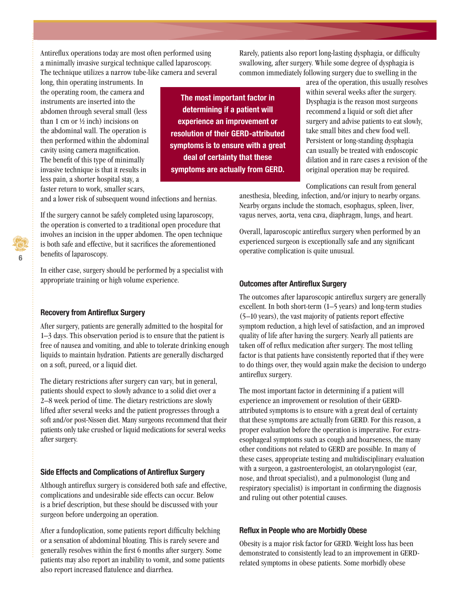Antireflux operations today are most often performed using a minimally invasive surgical technique called laparoscopy. The technique utilizes a narrow tube-like camera and several

long, thin operating instruments. In the operating room, the camera and instruments are inserted into the abdomen through several small (less than 1 cm or  $\frac{1}{2}$  inch) incisions on the abdominal wall. The operation is then performed within the abdominal cavity using camera magnification. The benefit of this type of minimally invasive technique is that it results in less pain, a shorter hospital stay, a faster return to work, smaller scars,

**The most important factor in determining if a patient will experience an improvement or resolution of their GERD-attributed symptoms is to ensure with a great deal of certainty that these symptoms are actually from GERD.**

Rarely, patients also report long-lasting dysphagia, or difficulty swallowing, after surgery. While some degree of dysphagia is common immediately following surgery due to swelling in the

> area of the operation, this usually resolves within several weeks after the surgery. Dysphagia is the reason most surgeons recommend a liquid or soft diet after surgery and advise patients to eat slowly, take small bites and chew food well. Persistent or long-standing dysphagia can usually be treated with endoscopic dilation and in rare cases a revision of the original operation may be required.

Complications can result from general

anesthesia, bleeding, infection, and/or injury to nearby organs. Nearby organs include the stomach, esophagus, spleen, liver, vagus nerves, aorta, vena cava, diaphragm, lungs, and heart.

Overall, laparoscopic antireflux surgery when performed by an experienced surgeon is exceptionally safe and any significant operative complication is quite unusual.

and a lower risk of subsequent wound infections and hernias.

If the surgery cannot be safely completed using laparoscopy, the operation is converted to a traditional open procedure that involves an incision in the upper abdomen. The open technique is both safe and effective, but it sacrifices the aforementioned benefits of laparoscopy.

In either case, surgery should be performed by a specialist with appropriate training or high volume experience.

#### **Recovery from Antireflux Surgery**

After surgery, patients are generally admitted to the hospital for 1–3 days. This observation period is to ensure that the patient is free of nausea and vomiting, and able to tolerate drinking enough liquids to maintain hydration. Patients are generally discharged on a soft, pureed, or a liquid diet.

The dietary restrictions after surgery can vary, but in general, patients should expect to slowly advance to a solid diet over a 2–8 week period of time. The dietary restrictions are slowly lifted after several weeks and the patient progresses through a soft and/or post-Nissen diet. Many surgeons recommend that their patients only take crushed or liquid medications for several weeks after surgery.

#### **Side Effects and Complications of Antireflux Surgery**

Although antireflux surgery is considered both safe and effective, complications and undesirable side effects can occur. Below is a brief description, but these should be discussed with your surgeon before undergoing an operation.

After a fundoplication, some patients report difficulty belching or a sensation of abdominal bloating. This is rarely severe and generally resolves within the first 6 months after surgery. Some patients may also report an inability to vomit, and some patients also report increased flatulence and diarrhea.

#### **Outcomes after Antireflux Surgery**

The outcomes after laparoscopic antireflux surgery are generally excellent. In both short-term (1–5 years) and long-term studies (5–10 years), the vast majority of patients report effective symptom reduction, a high level of satisfaction, and an improved quality of life after having the surgery. Nearly all patients are taken off of reflux medication after surgery. The most telling factor is that patients have consistently reported that if they were to do things over, they would again make the decision to undergo antireflux surgery.

The most important factor in determining if a patient will experience an improvement or resolution of their GERDattributed symptoms is to ensure with a great deal of certainty that these symptoms are actually from GERD. For this reason, a proper evaluation before the operation is imperative. For extraesophageal symptoms such as cough and hoarseness, the many other conditions not related to GERD are possible. In many of these cases, appropriate testing and multidisciplinary evaluation with a surgeon, a gastroenterologist, an otolaryngologist (ear, nose, and throat specialist), and a pulmonologist (lung and respiratory specialist) is important in confirming the diagnosis and ruling out other potential causes.

#### **Reflux in People who are Morbidly Obese**

Obesity is a major risk factor for GERD. Weight loss has been demonstrated to consistently lead to an improvement in GERDrelated symptoms in obese patients. Some morbidly obese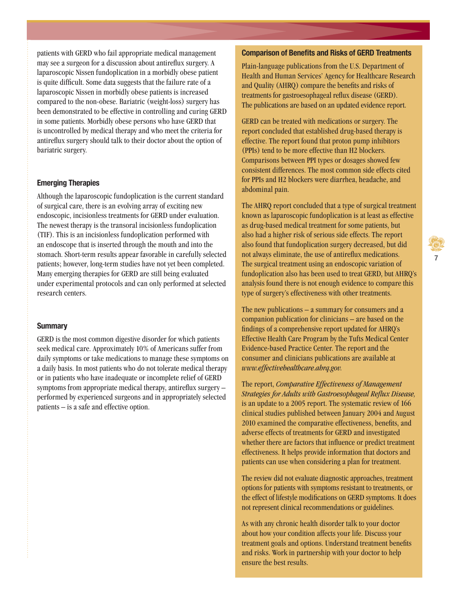patients with GERD who fail appropriate medical management may see a surgeon for a discussion about antireflux surgery. A laparoscopic Nissen fundoplication in a morbidly obese patient is quite difficult. Some data suggests that the failure rate of a laparoscopic Nissen in morbidly obese patients is increased compared to the non-obese. Bariatric (weight-loss) surgery has been demonstrated to be effective in controlling and curing GERD in some patients. Morbidly obese persons who have GERD that is uncontrolled by medical therapy and who meet the criteria for antireflux surgery should talk to their doctor about the option of bariatric surgery.

#### **Emerging Therapies**

Although the laparoscopic fundoplication is the current standard of surgical care, there is an evolving array of exciting new endoscopic, incisionless treatments for GERD under evaluation. The newest therapy is the transoral incisionless fundoplication (TIF). This is an incisionless fundoplication performed with an endoscope that is inserted through the mouth and into the stomach. Short-term results appear favorable in carefully selected patients; however, long-term studies have not yet been completed. Many emerging therapies for GERD are still being evaluated under experimental protocols and can only performed at selected research centers.

#### **Summary**

GERD is the most common digestive disorder for which patients seek medical care. Approximately 10% of Americans suffer from daily symptoms or take medications to manage these symptoms on a daily basis. In most patients who do not tolerate medical therapy or in patients who have inadequate or incomplete relief of GERD symptoms from appropriate medical therapy, antireflux surgery – performed by experienced surgeons and in appropriately selected patients – is a safe and effective option.

#### **Comparison of Benefits and Risks of GERD Treatments**

Plain-language publications from the U.S. Department of Health and Human Services' Agency for Healthcare Research and Quality (AHRQ) compare the benefits and risks of treatments for gastroesophageal reflux disease (GERD). The publications are based on an updated evidence report.

GERD can be treated with medications or surgery. The report concluded that established drug-based therapy is effective. The report found that proton pump inhibitors (PPIs) tend to be more effective than H2 blockers. Comparisons between PPI types or dosages showed few consistent differences. The most common side effects cited for PPIs and H2 blockers were diarrhea, headache, and abdominal pain.

The AHRQ report concluded that a type of surgical treatment known as laparoscopic fundoplication is at least as effective as drug-based medical treatment for some patients, but also had a higher risk of serious side effects. The report also found that fundoplication surgery decreased, but did not always eliminate, the use of antireflux medications. The surgical treatment using an endoscopic variation of fundoplication also has been used to treat GERD, but AHRQ's analysis found there is not enough evidence to compare this type of surgery's effectiveness with other treatments.

The new publications – a summary for consumers and a companion publication for clinicians – are based on the findings of a comprehensive report updated for AHRQ's Effective Health Care Program by the Tufts Medical Center Evidence-based Practice Center. The report and the consumer and clinicians publications are available at *www.effectivehealthcare.ahrq.gov.*

The report, *Comparative Effectiveness of Management Strategies for Adults with Gastroesophageal Reflux Disease,* is an update to a 2005 report. The systematic review of 166 clinical studies published between January 2004 and August 2010 examined the comparative effectiveness, benefits, and adverse effects of treatments for GERD and investigated whether there are factors that influence or predict treatment effectiveness. It helps provide information that doctors and patients can use when considering a plan for treatment.

The review did not evaluate diagnostic approaches, treatment options for patients with symptoms resistant to treatments, or the effect of lifestyle modifications on GERD symptoms. It does not represent clinical recommendations or guidelines.

As with any chronic health disorder talk to your doctor about how your condition affects your life. Discuss your treatment goals and options. Understand treatment benefits and risks. Work in partnership with your doctor to help ensure the best results.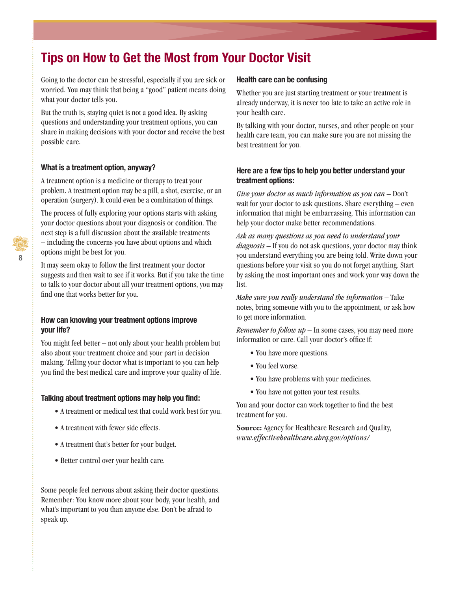## **Tips on How to Get the Most from Your Doctor Visit**

Going to the doctor can be stressful, especially if you are sick or worried. You may think that being a "good" patient means doing what your doctor tells you.

But the truth is, staying quiet is not a good idea. By asking questions and understanding your treatment options, you can share in making decisions with your doctor and receive the best possible care.

#### **What is a treatment option, anyway?**

A treatment option is a medicine or therapy to treat your problem. A treatment option may be a pill, a shot, exercise, or an operation (surgery). It could even be a combination of things.

The process of fully exploring your options starts with asking your doctor questions about your diagnosis or condition. The next step is a full discussion about the available treatments – including the concerns you have about options and which options might be best for you.

It may seem okay to follow the first treatment your doctor suggests and then wait to see if it works. But if you take the time to talk to your doctor about all your treatment options, you may find one that works better for you.

#### **How can knowing your treatment options improve your life?**

You might feel better – not only about your health problem but also about your treatment choice and your part in decision making. Telling your doctor what is important to you can help you find the best medical care and improve your quality of life.

#### **Talking about treatment options may help you find:**

- A treatment or medical test that could work best for you.
- A treatment with fewer side effects.
- A treatment that's better for your budget.
- Better control over your health care.

Some people feel nervous about asking their doctor questions. Remember: You know more about your body, your health, and what's important to you than anyone else. Don't be afraid to speak up.

#### **Health care can be confusing**

Whether you are just starting treatment or your treatment is already underway, it is never too late to take an active role in your health care.

By talking with your doctor, nurses, and other people on your health care team, you can make sure you are not missing the best treatment for you.

#### **Here are a few tips to help you better understand your treatment options:**

*Give your doctor as much information as you can* – Don't wait for your doctor to ask questions. Share everything – even information that might be embarrassing. This information can help your doctor make better recommendations.

*Ask as many questions as you need to understand your diagnosis* – If you do not ask questions, your doctor may think you understand everything you are being told. Write down your questions before your visit so you do not forget anything. Start by asking the most important ones and work your way down the list.

*Make sure you really understand the information –* Take notes, bring someone with you to the appointment, or ask how to get more information.

*Remember to follow up –* In some cases, you may need more information or care. Call your doctor's office if:

- You have more questions.
- You feel worse.
- You have problems with your medicines.
- You have not gotten your test results.

You and your doctor can work together to find the best treatment for you.

**Source:** Agency for Healthcare Research and Quality, *www.effectivehealthcare.ahrq.gov/options/*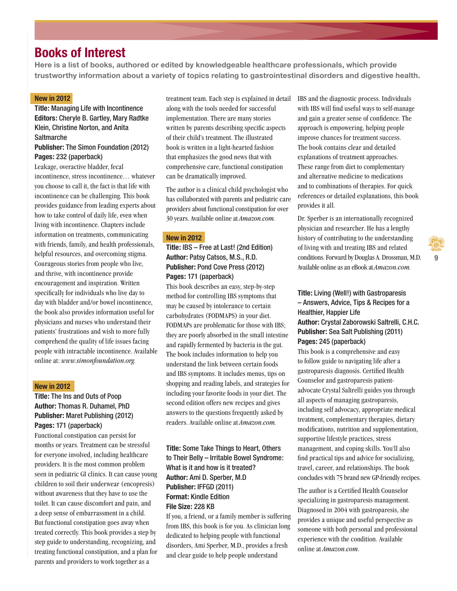### **Books of Interest**

**Here is a list of books, authored or edited by knowledgeable healthcare professionals, which provide trustworthy information about a variety of topics relating to gastrointestinal disorders and digestive health.**

#### **New in 2012**

**Title:** Managing Life with Incontinence **Editors:** Cheryle B. Gartley, Mary Radtke Klein, Christine Norton, and Anita **Saltmarche** 

#### **Publisher:** The Simon Foundation (2012) **Pages:** 232 (paperback)

Leakage, overactive bladder, fecal incontinence, stress incontinence… whatever you choose to call it, the fact is that life with incontinence can be challenging. This book provides guidance from leading experts about how to take control of daily life, even when living with incontinence. Chapters include information on treatments, communicating with friends, family, and health professionals, helpful resources, and overcoming stigma. Courageous stories from people who live, and thrive, with incontinence provide encouragement and inspiration. Written specifically for individuals who live day to day with bladder and/or bowel incontinence, the book also provides information useful for physicians and nurses who understand their patients' frustrations and wish to more fully comprehend the quality of life issues facing people with intractable incontinence. Available online at: *www.simonfoundation.org.*

#### **New in 2012**

#### **Title:** The Ins and Outs of Poop **Author:** Thomas R. Duhamel, PhD **Publisher:** Maret Publishing (2012) **Pages:** 171 (paperback)

Functional constipation can persist for months or years. Treatment can be stressful for everyone involved, including healthcare providers. It is the most common problem seen in pediatric GI clinics. It can cause young children to soil their underwear (encopresis) without awareness that they have to use the toilet. It can cause discomfort and pain, and a deep sense of embarrassment in a child. But functional constipation goes away when treated correctly. This book provides a step by step guide to understanding, recognizing, and treating functional constipation, and a plan for parents and providers to work together as a

treatment team. Each step is explained in detail along with the tools needed for successful implementation. There are many stories written by parents describing specific aspects of their child's treatment. The illustrated book is written in a light-hearted fashion that emphasizes the good news that with comprehensive care, functional constipation can be dramatically improved.

The author is a clinical child psychologist who has collaborated with parents and pediatric care providers about functional constipation for over 30 years. Available online at *Amazon.com.*

#### **New in 2012**

#### **Title:** IBS – Free at Last! (2nd Edition) **Author:** Patsy Catsos, M.S., R.D. **Publisher:** Pond Cove Press (2012) **Pages:** 171 (paperback)

This book describes an easy, step-by-step method for controlling IBS symptoms that may be caused by intolerance to certain carbohydrates (FODMAPS) in your diet. FODMAPs are problematic for those with IBS; they are poorly absorbed in the small intestine and rapidly fermented by bacteria in the gut. The book includes information to help you understand the link between certain foods and IBS symptoms. It includes menus, tips on shopping and reading labels, and strategies for including your favorite foods in your diet. The second edition offers new recipes and gives answers to the questions frequently asked by readers. Available online at *Amazon.com.*

#### **Title:** Some Take Things to Heart, Others to Their Belly – Irritable Bowel Syndrome: What is it and how is it treated? **Author:** Ami D. Sperber, M.D **Publisher:** IFFGD (2011) **Format:** Kindle Edition **File Size:** 228 KB

If you, a friend, or a family member is suffering from IBS, this book is for you. As clinician long dedicated to helping people with functional disorders, Ami Sperber, M.D., provides a fresh and clear guide to help people understand

IBS and the diagnostic process. Individuals with IBS will find useful ways to self-manage and gain a greater sense of confidence. The approach is empowering, helping people improve chances for treatment success. The book contains clear and detailed explanations of treatment approaches. These range from diet to complementary and alternative medicine to medications and to combinations of therapies. For quick references or detailed explanations, this book provides it all.

Dr. Sperber is an internationally recognized physician and researcher. He has a lengthy history of contributing to the understanding of living with and treating IBS and related conditions. Forward by Douglas A. Drossman, M.D. Available online as an eBook at *Amazon.com.*

#### **Title:** Living (Well!) with Gastroparesis – Answers, Advice, Tips & Recipes for a Healthier, Happier Life **Author:** Crystal Zaborowski Saltrelli, C.H.C. **Publisher:** Sea Salt Publishing (2011) **Pages:** 245 (paperback)

This book is a comprehensive and easy to follow guide to navigating life after a gastroparesis diagnosis. Certified Health Counselor and gastroparesis patientadvocate Crystal Saltrelli guides you through all aspects of managing gastroparesis, including self advocacy, appropriate medical treatment, complementary therapies, dietary modifications, nutrition and supplementation, supportive lifestyle practices, stress management, and coping skills. You'll also find practical tips and advice for socializing, travel, career, and relationships. The book concludes with 75 brand new GP-friendly recipes.

The author is a Certified Health Counselor specializing in gastroparesis management. Diagnosed in 2004 with gastroparesis, she provides a unique and useful perspective as someone with both personal and professional experience with the condition. Available online at *Amazon.com.*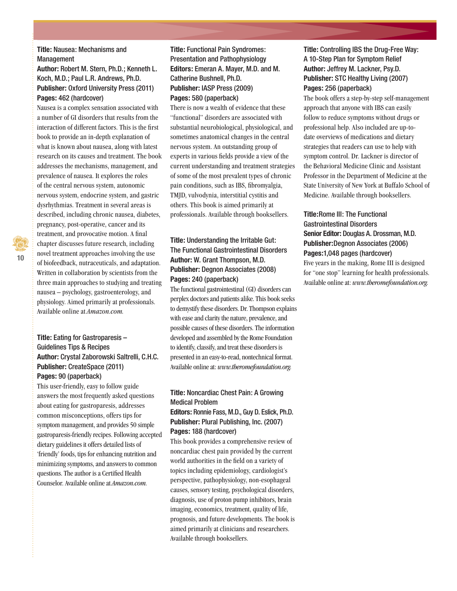#### **Title:** Nausea: Mechanisms and Management

#### **Author:** Robert M. Stern, Ph.D.; Kenneth L. Koch, M.D.; Paul L.R. Andrews, Ph.D. **Publisher:** Oxford University Press (2011) **Pages:** 462 (hardcover)

Nausea is a complex sensation associated with a number of GI disorders that results from the interaction of different factors. This is the first book to provide an in-depth explanation of what is known about nausea, along with latest research on its causes and treatment. The book addresses the mechanisms, management, and prevalence of nausea. It explores the roles of the central nervous system, autonomic nervous system, endocrine system, and gastric dysrhythmias. Treatment in several areas is described, including chronic nausea, diabetes, pregnancy, post-operative, cancer and its treatment, and provocative motion. A final chapter discusses future research, including novel treatment approaches involving the use of biofeedback, nutraceuticals, and adaptation. Written in collaboration by scientists from the three main approaches to studying and treating nausea – psychology, gastroenterology, and physiology. Aimed primarily at professionals. Available online at *Amazon.com.*

#### **Title:** Eating for Gastroparesis – Guidelines Tips & Recipes **Author:** Crystal Zaborowski Saltrelli, C.H.C. **Publisher:** CreateSpace (2011) **Pages:** 90 (paperback)

This user-friendly, easy to follow guide answers the most frequently asked questions about eating for gastroparesis, addresses common misconceptions, offers tips for symptom management, and provides 50 simple gastroparesis-friendly recipes. Following accepted dietary guidelines it offers detailed lists of 'friendly' foods, tips for enhancing nutrition and minimizing symptoms, and answers to common questions. The author is a Certified Health Counselor. Available online at *Amazon.com.*

#### **Title:** Functional Pain Syndromes: Presentation and Pathophysiology **Editors:** Emeran A. Mayer, M.D. and M. Catherine Bushnell, Ph.D. **Publisher:** IASP Press (2009) **Pages:** 580 (paperback)

There is now a wealth of evidence that these "functional" disorders are associated with substantial neurobiological, physiological, and sometimes anatomical changes in the central nervous system. An outstanding group of experts in various fields provide a view of the current understanding and treatment strategies of some of the most prevalent types of chronic pain conditions, such as IBS, fibromyalgia, TMJD, vulvodynia, interstitial cystitis and others. This book is aimed primarily at professionals. Available through booksellers.

#### **Title:** Understanding the Irritable Gut: The Functional Gastrointestinal Disorders **Author:** W. Grant Thompson, M.D. **Publisher:** Degnon Associates (2008) **Pages:** 240 (paperback)

The functional gastrointestinal (GI) disorders can perplex doctors and patients alike. This book seeks to demystify these disorders. Dr. Thompson explains with ease and clarity the nature, prevalence, and possible causes of these disorders. The information developed and assembled by the Rome Foundation to identify, classify, and treat these disorders is presented in an easy-to-read, nontechnical format. Available online at: *www.theromefoundation.org.*

#### **Title:** Noncardiac Chest Pain: A Growing Medical Problem

**Editors:** Ronnie Fass, M.D., Guy D. Eslick, Ph.D. **Publisher:** Plural Publishing, Inc. (2007) **Pages:** 188 (hardcover)

This book provides a comprehensive review of noncardiac chest pain provided by the current world authorities in the field on a variety of topics including epidemiology, cardiologist's perspective, pathophysiology, non-esophageal causes, sensory testing, psychological disorders, diagnosis, use of proton pump inhibitors, brain imaging, economics, treatment, quality of life, prognosis, and future developments. The book is aimed primarily at clinicians and researchers. Available through booksellers.

#### **Title:** Controlling IBS the Drug-Free Way: A 10-Step Plan for Symptom Relief **Author:** Jeffrey M. Lackner, Psy.D. **Publisher:** STC Healthy Living (2007) **Pages:** 256 (paperback)

The book offers a step-by-step self-management approach that anyone with IBS can easily follow to reduce symptoms without drugs or professional help. Also included are up-todate overviews of medications and dietary strategies that readers can use to help with symptom control. Dr. Lackner is director of the Behavioral Medicine Clinic and Assistant Professor in the Department of Medicine at the State University of New York at Buffalo School of Medicine. Available through booksellers.

#### **Title:**Rome III: The Functional Gastrointestinal Disorders **Senior Editor:** Douglas A. Drossman, M.D. **Publisher:**Degnon Associates (2006) **Pages:**1,048 pages (hardcover) Five years in the making, Rome III is designed

for "one stop" learning for health professionals. Available online at: *www.theromefoundation.org.*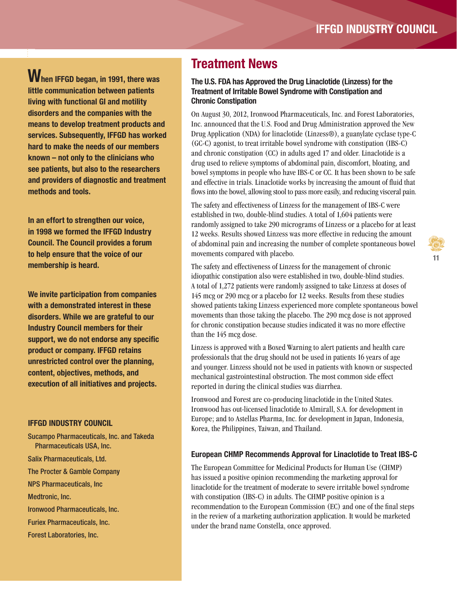**IFFGD INDUSTRY COUNCIL**

**When IFFGD began, in 1991, there was little communication between patients living with functional GI and motility disorders and the companies with the means to develop treatment products and services. Subsequently, IFFGD has worked hard to make the needs of our members known – not only to the clinicians who see patients, but also to the researchers and providers of diagnostic and treatment methods and tools.** 

**In an effort to strengthen our voice, in 1998 we formed the IFFGD Industry Council. The Council provides a forum to help ensure that the voice of our membership is heard.** 

**We invite participation from companies with a demonstrated interest in these disorders. While we are grateful to our Industry Council members for their support, we do not endorse any specific product or company. IFFGD retains unrestricted control over the planning, content, objectives, methods, and execution of all initiatives and projects.** 

#### **IFFGD INDUSTRY COUNCIL**

Sucampo Pharmaceuticals, Inc. and Takeda Pharmaceuticals USA, Inc. Salix Pharmaceuticals, Ltd. The Procter & Gamble Company NPS Pharmaceuticals, Inc Medtronic, Inc. Ironwood Pharmaceuticals, Inc. Furiex Pharmaceuticals, Inc. Forest Laboratories, Inc.

## **Treatment News**

#### **The U.S. FDA has Approved the Drug Linaclotide (Linzess) for the Treatment of Irritable Bowel Syndrome with Constipation and Chronic Constipation**

On August 30, 2012, Ironwood Pharmaceuticals, Inc. and Forest Laboratories, Inc. announced that the U.S. Food and Drug Administration approved the New Drug Application (NDA) for linaclotide (Linzess®), a guanylate cyclase type-C (GC-C) agonist, to treat irritable bowel syndrome with constipation (IBS-C) and chronic constipation (CC) in adults aged 17 and older. Linaclotide is a drug used to relieve symptoms of abdominal pain, discomfort, bloating, and bowel symptoms in people who have IBS-C or CC. It has been shown to be safe and effective in trials. Linaclotide works by increasing the amount of fluid that flows into the bowel, allowing stool to pass more easily, and reducing visceral pain.

The safety and effectiveness of Linzess for the management of IBS-C were established in two, double-blind studies. A total of 1,604 patients were randomly assigned to take 290 micrograms of Linzess or a placebo for at least 12 weeks. Results showed Linzess was more effective in reducing the amount of abdominal pain and increasing the number of complete spontaneous bowel movements compared with placebo.

The safety and effectiveness of Linzess for the management of chronic idiopathic constipation also were established in two, double-blind studies. A total of 1,272 patients were randomly assigned to take Linzess at doses of 145 mcg or 290 mcg or a placebo for 12 weeks. Results from these studies showed patients taking Linzess experienced more complete spontaneous bowel movements than those taking the placebo. The 290 mcg dose is not approved for chronic constipation because studies indicated it was no more effective than the 145 mcg dose.

Linzess is approved with a Boxed Warning to alert patients and health care professionals that the drug should not be used in patients 16 years of age and younger. Linzess should not be used in patients with known or suspected mechanical gastrointestinal obstruction. The most common side effect reported in during the clinical studies was diarrhea.

Ironwood and Forest are co-producing linaclotide in the United States. Ironwood has out-licensed linaclotide to Almirall, S.A. for development in Europe; and to Astellas Pharma, Inc. for development in Japan, Indonesia, Korea, the Philippines, Taiwan, and Thailand.

#### **European CHMP Recommends Approval for Linaclotide to Treat IBS-C**

The European Committee for Medicinal Products for Human Use (CHMP) has issued a positive opinion recommending the marketing approval for linaclotide for the treatment of moderate to severe irritable bowel syndrome with constipation (IBS-C) in adults. The CHMP positive opinion is a recommendation to the European Commission (EC) and one of the final steps in the review of a marketing authorization application. It would be marketed under the brand name Constella, once approved.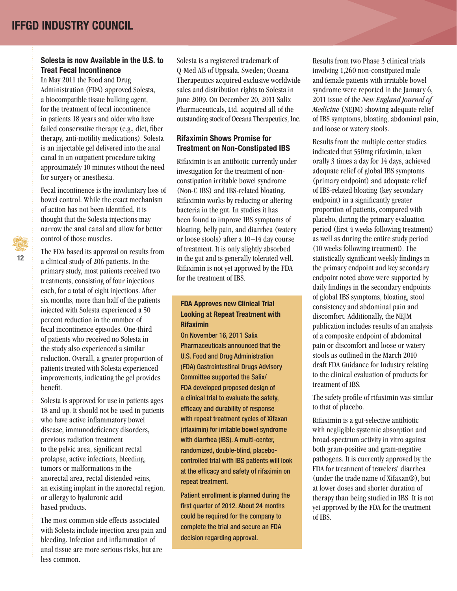#### **Solesta is now Available in the U.S. to Treat Fecal Incontinence**

In May 2011 the Food and Drug Administration (FDA) approved Solesta, a biocompatible tissue bulking agent, for the treatment of fecal incontinence in patients 18 years and older who have failed conservative therapy (e.g., diet, fiber therapy, anti-motility medications). Solesta is an injectable gel delivered into the anal canal in an outpatient procedure taking approximately 10 minutes without the need for surgery or anesthesia.

Fecal incontinence is the involuntary loss of bowel control. While the exact mechanism of action has not been identified, it is thought that the Solesta injections may narrow the anal canal and allow for better control of those muscles.

The FDA based its approval on results from a clinical study of 206 patients. In the primary study, most patients received two treatments, consisting of four injections each, for a total of eight injections. After six months, more than half of the patients injected with Solesta experienced a 50 percent reduction in the number of fecal incontinence episodes. One-third of patients who received no Solesta in the study also experienced a similar reduction. Overall, a greater proportion of patients treated with Solesta experienced improvements, indicating the gel provides benefit.

Solesta is approved for use in patients ages 18 and up. It should not be used in patients who have active inflammatory bowel disease, immunodeficiency disorders, previous radiation treatment to the pelvic area, significant rectal prolapse, active infections, bleeding, tumors or malformations in the anorectal area, rectal distended veins, an existing implant in the anorectal region, or allergy to hyaluronic acid based products.

The most common side effects associated with Solesta include injection area pain and bleeding. Infection and inflammation of anal tissue are more serious risks, but are less common.

Solesta is a registered trademark of Q-Med AB of Uppsala, Sweden; Oceana Therapeutics acquired exclusive worldwide sales and distribution rights to Solesta in June 2009. On December 20, 2011 Salix Pharmaceuticals, Ltd. acquired all of the outstanding stock of Oceana Therapeutics, Inc.

#### **Rifaximin Shows Promise for Treatment on Non-Constipated IBS**

Rifaximin is an antibiotic currently under investigation for the treatment of nonconstipation irritable bowel syndrome (Non-C IBS) and IBS-related bloating. Rifaximin works by reducing or altering bacteria in the gut. In studies it has been found to improve IBS symptoms of bloating, belly pain, and diarrhea (watery or loose stools) after a 10–14 day course of treatment. It is only slightly absorbed in the gut and is generally tolerated well. Rifaximin is not yet approved by the FDA for the treatment of IBS.

#### **FDA Approves new Clinical Trial Looking at Repeat Treatment with Rifaximin**

On November 16, 2011 Salix Pharmaceuticals announced that the U.S. Food and Drug Administration (FDA) Gastrointestinal Drugs Advisory Committee supported the Salix/ FDA developed proposed design of a clinical trial to evaluate the safety, efficacy and durability of response with repeat treatment cycles of Xifaxan (rifaximin) for irritable bowel syndrome with diarrhea (IBS). A multi-center, randomized, double-blind, placebocontrolled trial with IBS patients will look at the efficacy and safety of rifaximin on repeat treatment.

Patient enrollment is planned during the first quarter of 2012. About 24 months could be required for the company to complete the trial and secure an FDA decision regarding approval.

Results from two Phase 3 clinical trials involving 1,260 non-constipated male and female patients with irritable bowel syndrome were reported in the January 6, 2011 issue of the *New England Journal of Medicine* (NEJM) showing adequate relief of IBS symptoms, bloating, abdominal pain, and loose or watery stools.

Results from the multiple center studies indicated that 550mg rifaximin, taken orally 3 times a day for 14 days, achieved adequate relief of global IBS symptoms (primary endpoint) and adequate relief of IBS-related bloating (key secondary endpoint) in a significantly greater proportion of patients, compared with placebo, during the primary evaluation period (first 4 weeks following treatment) as well as during the entire study period (10 weeks following treatment). The statistically significant weekly findings in the primary endpoint and key secondary endpoint noted above were supported by daily findings in the secondary endpoints of global IBS symptoms, bloating, stool consistency and abdominal pain and discomfort. Additionally, the NEJM publication includes results of an analysis of a composite endpoint of abdominal pain or discomfort and loose or watery stools as outlined in the March 2010 draft FDA Guidance for Industry relating to the clinical evaluation of products for treatment of IBS.

The safety profile of rifaximin was similar to that of placebo.

Rifaximin is a gut-selective antibiotic with negligible systemic absorption and broad-spectrum activity in vitro against both gram-positive and gram-negative pathogens. It is currently approved by the FDA for treatment of travelers' diarrhea (under the trade name of Xifaxan®), but at lower doses and shorter duration of therapy than being studied in IBS. It is not yet approved by the FDA for the treatment of IBS.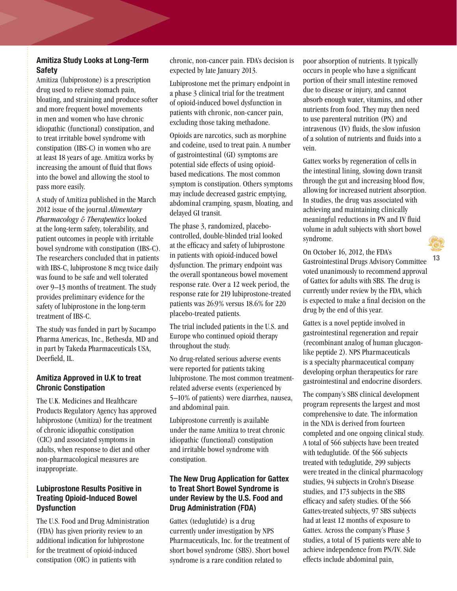#### **Amitiza Study Looks at Long-Term Safety**

Amitiza (lubiprostone) is a prescription drug used to relieve stomach pain, bloating, and straining and produce softer and more frequent bowel movements in men and women who have chronic idiopathic (functional) constipation, and to treat irritable bowel syndrome with constipation (IBS-C) in women who are at least 18 years of age. Amitiza works by increasing the amount of fluid that flows into the bowel and allowing the stool to pass more easily.

A study of Amitiza published in the March 2012 issue of the journal *Alimentary Pharmacology & Therapeutics* looked at the long-term safety, tolerability, and patient outcomes in people with irritable bowel syndrome with constipation (IBS-C). The researchers concluded that in patients with IBS-C, lubiprostone 8 mcg twice daily was found to be safe and well tolerated over 9–13 months of treatment. The study provides preliminary evidence for the safety of lubiprostone in the long-term treatment of IBS-C.

The study was funded in part by Sucampo Pharma Americas, Inc., Bethesda, MD and in part by Takeda Pharmaceuticals USA, Deerfield, IL.

#### **Amitiza Approved in U.K to treat Chronic Constipation**

The U.K. Medicines and Healthcare Products Regulatory Agency has approved lubiprostone (Amitiza) for the treatment of chronic idiopathic constipation (CIC) and associated symptoms in adults, when response to diet and other non-pharmacological measures are inappropriate.

#### **Lubiprostone Results Positive in Treating Opioid-Induced Bowel Dysfunction**

The U.S. Food and Drug Administration (FDA) has given priority review to an additional indication for lubiprostone for the treatment of opioid-induced constipation (OIC) in patients with

chronic, non-cancer pain. FDA's decision is expected by late January 2013.

Lubiprostone met the primary endpoint in a phase 3 clinical trial for the treatment of opioid-induced bowel dysfunction in patients with chronic, non-cancer pain, excluding those taking methadone.

Opioids are narcotics, such as morphine and codeine, used to treat pain. A number of gastrointestinal (GI) symptoms are potential side effects of using opioidbased medications. The most common symptom is constipation. Others symptoms may include decreased gastric emptying, abdominal cramping, spasm, bloating, and delayed GI transit.

The phase 3, randomized, placebocontrolled, double-blinded trial looked at the efficacy and safety of lubiprostone in patients with opioid-induced bowel dysfunction. The primary endpoint was the overall spontaneous bowel movement response rate. Over a 12 week period, the response rate for 219 lubiprostone-treated patients was 26.9% versus 18.6% for 220 placebo-treated patients.

The trial included patients in the U.S. and Europe who continued opioid therapy throughout the study.

No drug-related serious adverse events were reported for patients taking lubiprostone. The most common treatmentrelated adverse events (experienced by 5–10% of patients) were diarrhea, nausea, and abdominal pain.

Lubiprostone currently is available under the name Amitiza to treat chronic idiopathic (functional) constipation and irritable bowel syndrome with constipation.

#### **The New Drug Application for Gattex to Treat Short Bowel Syndrome is under Review by the U.S. Food and Drug Administration (FDA)**

Gattex (teduglutide) is a drug currently under investigation by NPS Pharmaceuticals, Inc. for the treatment of short bowel syndrome (SBS). Short bowel syndrome is a rare condition related to

poor absorption of nutrients. It typically occurs in people who have a significant portion of their small intestine removed due to disease or injury, and cannot absorb enough water, vitamins, and other nutrients from food. They may then need to use parenteral nutrition (PN) and intravenous (IV) fluids, the slow infusion of a solution of nutrients and fluids into a vein.

Gattex works by regeneration of cells in the intestinal lining, slowing down transit through the gut and increasing blood flow, allowing for increased nutrient absorption. In studies, the drug was associated with achieving and maintaining clinically meaningful reductions in PN and IV fluid volume in adult subjects with short bowel syndrome.

On October 16, 2012, the FDA's

Gastrointestinal Drugs Advisory Committee voted unanimously to recommend approval of Gattex for adults with SBS. The drug is currently under review by the FDA, which is expected to make a final decision on the drug by the end of this year.

Gattex is a novel peptide involved in gastrointestinal regeneration and repair (recombinant analog of human glucagonlike peptide 2). NPS Pharmaceuticals is a specialty pharmaceutical company developing orphan therapeutics for rare gastrointestinal and endocrine disorders.

The company's SBS clinical development program represents the largest and most comprehensive to date. The information in the NDA is derived from fourteen completed and one ongoing clinical study. A total of 566 subjects have been treated with teduglutide. Of the 566 subjects treated with teduglutide, 299 subjects were treated in the clinical pharmacology studies, 94 subjects in Crohn's Disease studies, and 173 subjects in the SBS efficacy and safety studies. Of the 566 Gattex-treated subjects, 97 SBS subjects had at least 12 months of exposure to Gattex. Across the company's Phase 3 studies, a total of 15 patients were able to achieve independence from PN/IV. Side effects include abdominal pain,

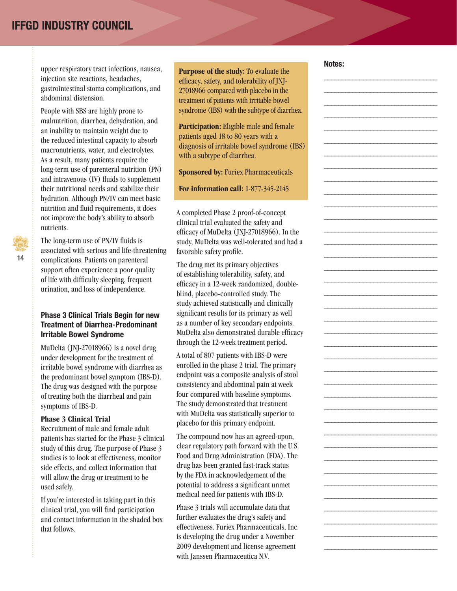upper respiratory tract infections, nausea, injection site reactions, headaches, gastrointestinal stoma complications, and abdominal distension.

People with SBS are highly prone to malnutrition, diarrhea, dehydration, and an inability to maintain weight due to the reduced intestinal capacity to absorb macronutrients, water, and electrolytes. As a result, many patients require the long-term use of parenteral nutrition (PN) and intravenous (IV) fluids to supplement their nutritional needs and stabilize their hydration. Although PN/IV can meet basic nutrition and fluid requirements, it does not improve the body's ability to absorb nutrients.

The long-term use of PN/IV fluids is associated with serious and life-threatening complications. Patients on parenteral support often experience a poor quality of life with difficulty sleeping, frequent urination, and loss of independence.

**14**

#### **Phase 3 Clinical Trials Begin for new Treatment of Diarrhea-Predominant Irritable Bowel Syndrome**

MuDelta (JNJ-27018966) is a novel drug under development for the treatment of irritable bowel syndrome with diarrhea as the predominant bowel symptom (IBS-D). The drug was designed with the purpose of treating both the diarrheal and pain symptoms of IBS-D.

#### **Phase 3 Clinical Trial**

Recruitment of male and female adult patients has started for the Phase 3 clinical study of this drug. The purpose of Phase 3 studies is to look at effectiveness, monitor side effects, and collect information that will allow the drug or treatment to be used safely.

If you're interested in taking part in this clinical trial, you will find participation and contact information in the shaded box that follows.

**Purpose of the study:** To evaluate the efficacy, safety, and tolerability of JNJ-27018966 compared with placebo in the treatment of patients with irritable bowel syndrome (IBS) with the subtype of diarrhea.

**Participation:** Eligible male and female patients aged 18 to 80 years with a diagnosis of irritable bowel syndrome (IBS) with a subtype of diarrhea.

**Sponsored by: Furiex Pharmaceuticals** 

**For information call:** 1-877-345-2145

A completed Phase 2 proof-of-concept clinical trial evaluated the safety and efficacy of MuDelta (JNJ-27018966). In the study, MuDelta was well-tolerated and had a favorable safety profile.

The drug met its primary objectives of establishing tolerability, safety, and efficacy in a 12-week randomized, doubleblind, placebo-controlled study. The study achieved statistically and clinically significant results for its primary as well as a number of key secondary endpoints. MuDelta also demonstrated durable efficacy through the 12-week treatment period.

A total of 807 patients with IBS-D were enrolled in the phase 2 trial. The primary endpoint was a composite analysis of stool consistency and abdominal pain at week four compared with baseline symptoms. The study demonstrated that treatment with MuDelta was statistically superior to placebo for this primary endpoint.

The compound now has an agreed-upon, clear regulatory path forward with the U.S. Food and Drug Administration (FDA). The drug has been granted fast-track status by the FDA in acknowledgement of the potential to address a significant unmet medical need for patients with IBS-D.

Phase 3 trials will accumulate data that further evaluates the drug's safety and effectiveness. Furiex Pharmaceuticals, Inc. is developing the drug under a November 2009 development and license agreement with Janssen Pharmaceutica N.V.

**Notes:**

\_\_\_\_\_\_\_\_\_\_\_\_\_\_\_\_\_\_\_\_\_\_\_\_\_\_\_\_\_\_\_\_ \_\_\_\_\_\_\_\_\_\_\_\_\_\_\_\_\_\_\_\_\_\_\_\_\_\_\_\_\_\_\_\_ \_\_\_\_\_\_\_\_\_\_\_\_\_\_\_\_\_\_\_\_\_\_\_\_\_\_\_\_\_\_\_\_ \_\_\_\_\_\_\_\_\_\_\_\_\_\_\_\_\_\_\_\_\_\_\_\_\_\_\_\_\_\_\_\_ \_\_\_\_\_\_\_\_\_\_\_\_\_\_\_\_\_\_\_\_\_\_\_\_\_\_\_\_\_\_\_\_ \_\_\_\_\_\_\_\_\_\_\_\_\_\_\_\_\_\_\_\_\_\_\_\_\_\_\_\_\_\_\_\_ \_\_\_\_\_\_\_\_\_\_\_\_\_\_\_\_\_\_\_\_\_\_\_\_\_\_\_\_\_\_\_\_ \_\_\_\_\_\_\_\_\_\_\_\_\_\_\_\_\_\_\_\_\_\_\_\_\_\_\_\_\_\_\_\_ \_\_\_\_\_\_\_\_\_\_\_\_\_\_\_\_\_\_\_\_\_\_\_\_\_\_\_\_\_\_\_\_ \_\_\_\_\_\_\_\_\_\_\_\_\_\_\_\_\_\_\_\_\_\_\_\_\_\_\_\_\_\_\_\_ \_\_\_\_\_\_\_\_\_\_\_\_\_\_\_\_\_\_\_\_\_\_\_\_\_\_\_\_\_\_\_\_ \_\_\_\_\_\_\_\_\_\_\_\_\_\_\_\_\_\_\_\_\_\_\_\_\_\_\_\_\_\_\_\_ \_\_\_\_\_\_\_\_\_\_\_\_\_\_\_\_\_\_\_\_\_\_\_\_\_\_\_\_\_\_\_\_ \_\_\_\_\_\_\_\_\_\_\_\_\_\_\_\_\_\_\_\_\_\_\_\_\_\_\_\_\_\_\_\_ \_\_\_\_\_\_\_\_\_\_\_\_\_\_\_\_\_\_\_\_\_\_\_\_\_\_\_\_\_\_\_\_ \_\_\_\_\_\_\_\_\_\_\_\_\_\_\_\_\_\_\_\_\_\_\_\_\_\_\_\_\_\_\_\_ \_\_\_\_\_\_\_\_\_\_\_\_\_\_\_\_\_\_\_\_\_\_\_\_\_\_\_\_\_\_\_\_ \_\_\_\_\_\_\_\_\_\_\_\_\_\_\_\_\_\_\_\_\_\_\_\_\_\_\_\_\_\_\_\_ \_\_\_\_\_\_\_\_\_\_\_\_\_\_\_\_\_\_\_\_\_\_\_\_\_\_\_\_\_\_\_\_ \_\_\_\_\_\_\_\_\_\_\_\_\_\_\_\_\_\_\_\_\_\_\_\_\_\_\_\_\_\_\_\_ \_\_\_\_\_\_\_\_\_\_\_\_\_\_\_\_\_\_\_\_\_\_\_\_\_\_\_\_\_\_\_\_ \_\_\_\_\_\_\_\_\_\_\_\_\_\_\_\_\_\_\_\_\_\_\_\_\_\_\_\_\_\_\_\_ \_\_\_\_\_\_\_\_\_\_\_\_\_\_\_\_\_\_\_\_\_\_\_\_\_\_\_\_\_\_\_\_ \_\_\_\_\_\_\_\_\_\_\_\_\_\_\_\_\_\_\_\_\_\_\_\_\_\_\_\_\_\_\_\_ \_\_\_\_\_\_\_\_\_\_\_\_\_\_\_\_\_\_\_\_\_\_\_\_\_\_\_\_\_\_\_\_ \_\_\_\_\_\_\_\_\_\_\_\_\_\_\_\_\_\_\_\_\_\_\_\_\_\_\_\_\_\_\_\_ \_\_\_\_\_\_\_\_\_\_\_\_\_\_\_\_\_\_\_\_\_\_\_\_\_\_\_\_\_\_\_\_ \_\_\_\_\_\_\_\_\_\_\_\_\_\_\_\_\_\_\_\_\_\_\_\_\_\_\_\_\_\_\_\_ \_\_\_\_\_\_\_\_\_\_\_\_\_\_\_\_\_\_\_\_\_\_\_\_\_\_\_\_\_\_\_\_ \_\_\_\_\_\_\_\_\_\_\_\_\_\_\_\_\_\_\_\_\_\_\_\_\_\_\_\_\_\_\_\_ \_\_\_\_\_\_\_\_\_\_\_\_\_\_\_\_\_\_\_\_\_\_\_\_\_\_\_\_\_\_\_\_ \_\_\_\_\_\_\_\_\_\_\_\_\_\_\_\_\_\_\_\_\_\_\_\_\_\_\_\_\_\_\_\_ \_\_\_\_\_\_\_\_\_\_\_\_\_\_\_\_\_\_\_\_\_\_\_\_\_\_\_\_\_\_\_\_ \_\_\_\_\_\_\_\_\_\_\_\_\_\_\_\_\_\_\_\_\_\_\_\_\_\_\_\_\_\_\_\_ \_\_\_\_\_\_\_\_\_\_\_\_\_\_\_\_\_\_\_\_\_\_\_\_\_\_\_\_\_\_\_\_ \_\_\_\_\_\_\_\_\_\_\_\_\_\_\_\_\_\_\_\_\_\_\_\_\_\_\_\_\_\_\_\_ \_\_\_\_\_\_\_\_\_\_\_\_\_\_\_\_\_\_\_\_\_\_\_\_\_\_\_\_\_\_\_\_ \_\_\_\_\_\_\_\_\_\_\_\_\_\_\_\_\_\_\_\_\_\_\_\_\_\_\_\_\_\_\_\_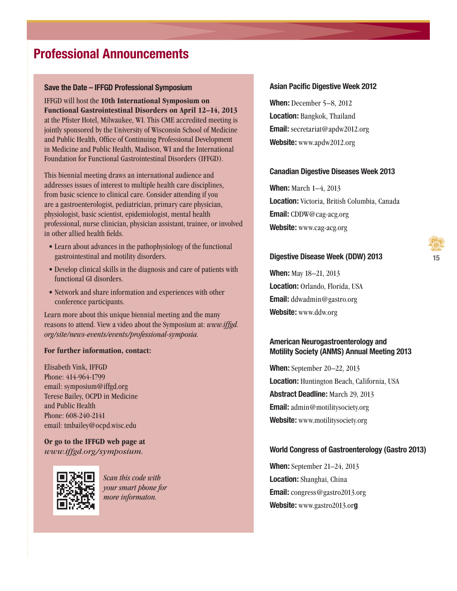## **Professional Announcements**

#### **Save the Date – IFFGD Professional Symposium**

IFFGD will host the **10th International Symposium on Functional Gastrointestinal Disorders on April 12–14, 2013**  at the Pfister Hotel, Milwaukee, WI. This CME accredited meeting is jointly sponsored by the University of Wisconsin School of Medicine and Public Health, Office of Continuing Professional Development in Medicine and Public Health, Madison, WI and the International Foundation for Functional Gastrointestinal Disorders (IFFGD).

This biennial meeting draws an international audience and addresses issues of interest to multiple health care disciplines, from basic science to clinical care. Consider attending if you are a gastroenterologist, pediatrician, primary care physician, physiologist, basic scientist, epidemiologist, mental health professional, nurse clinician, physician assistant, trainee, or involved in other allied health fields.

- Learn about advances in the pathophysiology of the functional gastrointestinal and motility disorders.
- Develop clinical skills in the diagnosis and care of patients with functional GI disorders.
- Network and share information and experiences with other conference participants.

Learn more about this unique biennial meeting and the many reasons to attend. View a video about the Symposium at: *www.iffgd. org/site/news-events/events/professional-symposia.* 

#### **For further information, contact:**

Elisabeth Vink, IFFGD Phone: 414-964-1799 email: symposium@iffgd.org Terese Bailey, OCPD in Medicine and Public Health Phone: 608-240-2141 email: tmbailey@ocpd.wisc.edu

**Or go to the IFFGD web page at**  *www.iffgd.org/symposium.*



*Scan this code with your smart phone for more informaton.*

#### **Asian Pacific Digestive Week 2012**

**When:** December 5–8, 2012 **Location:** Bangkok, Thailand **Email:** secretariat@apdw2012.org **Website:** www.apdw2012.org

#### **Canadian Digestive Diseases Week 2013**

**When:** March 1–4, 2013 **Location:** Victoria, British Columbia, Canada **Email:** CDDW@cag-acg.org **Website:** www.cag-acg.org

#### **Digestive Disease Week (DDW) 2013**

**When:** May 18–21, 2013 **Location:** Orlando, Florida, USA **Email:** ddwadmin@gastro.org **Website:** www.ddw.org

#### **American Neurogastroenterology and Motility Society (ANMS) Annual Meeting 2013**

**When:** September 20–22, 2013 **Location:** Huntington Beach, California, USA **Abstract Deadline:** March 29, 2013 **Email:** admin@motilitysociety.org **Website:** www.motilitysociety.org

#### **World Congress of Gastroenterology (Gastro 2013)**

**When:** September 21–24, 2013 **Location:** Shanghai, China **Email:** congress@gastro2013.org **Website:** www.gastro2013.or**g**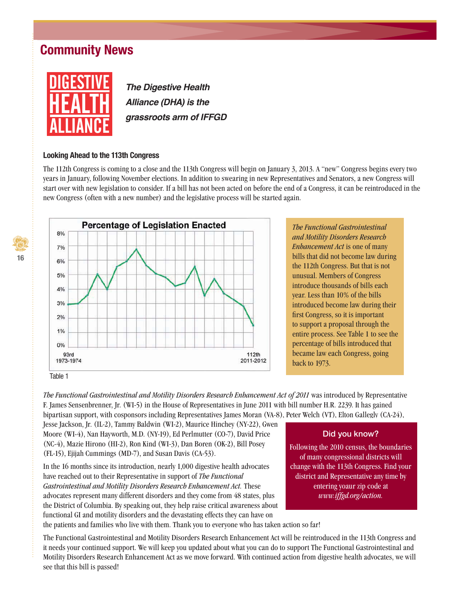

*The Digestive Health Alliance (DHA) is the grassroots arm of IFFGD*

#### **Looking Ahead to the 113th Congress**

The 112th Congress is coming to a close and the 113th Congress will begin on January 3, 2013. A "new" Congress begins every two years in January, following November elections. In addition to swearing in new Representatives and Senators, a new Congress will start over with new legislation to consider. If a bill has not been acted on before the end of a Congress, it can be reintroduced in the new Congress (often with a new number) and the legislative process will be started again.





*The Functional Gastrointestinal and Motility Disorders Research Enhancement Act* is one of many bills that did not become law during the 112th Congress. But that is not unusual. Members of Congress introduce thousands of bills each year. Less than 10% of the bills introduced become law during their first Congress, so it is important to support a proposal through the entire process. See Table 1 to see the percentage of bills introduced that became law each Congress, going back to 1973.

Table 1

*The Functional Gastrointestinal and Motility Disorders Research Enhancement Act of 2011* was introduced by Representative F. James Sensenbrenner, Jr. (WI-5) in the House of Representatives in June 2011 with bill number H.R. 2239. It has gained bipartisan support, with cosponsors including Representatives James Moran (VA-8), Peter Welch (VT), Elton Gallegly (CA-24),

Jesse Jackson, Jr. (IL-2), Tammy Baldwin (WI-2), Maurice Hinchey (NY-22), Gwen Moore (WI-4), Nan Hayworth, M.D. (NY-19), Ed Perlmutter (CO-7), David Price (NC-4), Mazie Hirono (HI-2), Ron Kind (WI-3), Dan Boren (OK-2), Bill Posey (FL-15), Ejijah Cummings (MD-7), and Susan Davis (CA-53).

In the 16 months since its introduction, nearly 1,000 digestive health advocates have reached out to their Representative in support of *The Functional Gastrointestinal and Motility Disorders Research Enhancement Act.* These advocates represent many different disorders and they come from 48 states, plus the District of Columbia. By speaking out, they help raise critical awareness about functional GI and motility disorders and the devastating effects they can have on

#### **Did you know?**

Following the 2010 census, the boundaries of many congressional districts will change with the 113th Congress. Find your district and Representative any time by entering yoaur zip code at *www.iffgd.org/action.*

the patients and families who live with them. Thank you to everyone who has taken action so far!

The Functional Gastrointestinal and Motility Disorders Research Enhancement Act will be reintroduced in the 113th Congress and it needs your continued support. We will keep you updated about what you can do to support The Functional Gastrointestinal and Motility Disorders Research Enhancement Act as we move forward. With continued action from digestive health advocates, we will see that this bill is passed!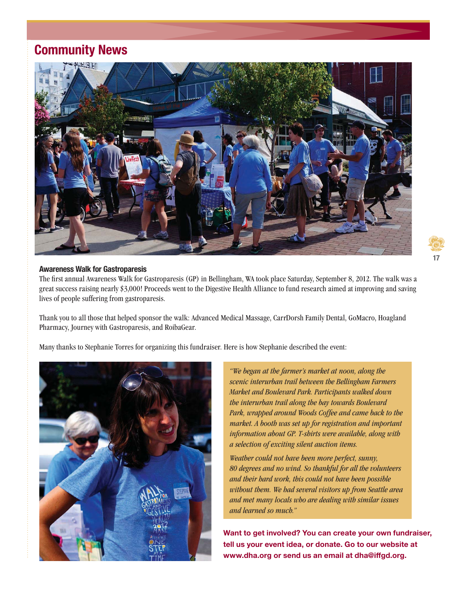

#### **Awareness Walk for Gastroparesis**

The first annual Awareness Walk for Gastroparesis (GP) in Bellingham, WA took place Saturday, September 8, 2012. The walk was a great success raising nearly \$3,000! Proceeds went to the Digestive Health Alliance to fund research aimed at improving and saving lives of people suffering from gastroparesis.

Thank you to all those that helped sponsor the walk: Advanced Medical Massage, CarrDorsh Family Dental, GoMacro, Hoagland Pharmacy, Journey with Gastroparesis, and RoibaGear.

Many thanks to Stephanie Torres for organizing this fundraiser. Here is how Stephanie described the event:



*"We began at the farmer's market at noon, along the scenic interurban trail between the Bellingham Farmers Market and Boulevard Park. Participants walked down the interurban trail along the bay towards Boulevard Park, wrapped around Woods Coffee and came back to the market. A booth was set up for registration and important information about GP. T-shirts were available, along with a selection of exciting silent auction items.*

*Weather could not have been more perfect, sunny, 80 degrees and no wind. So thankful for all the volunteers and their hard work, this could not have been possible without them. We had several visitors up from Seattle area and met many locals who are dealing with similar issues and learned so much."* 

**Want to get involved? You can create your own fundraiser, tell us your event idea, or donate. Go to our website at**  www.dha.org or send us an email at dha@iffgd.org.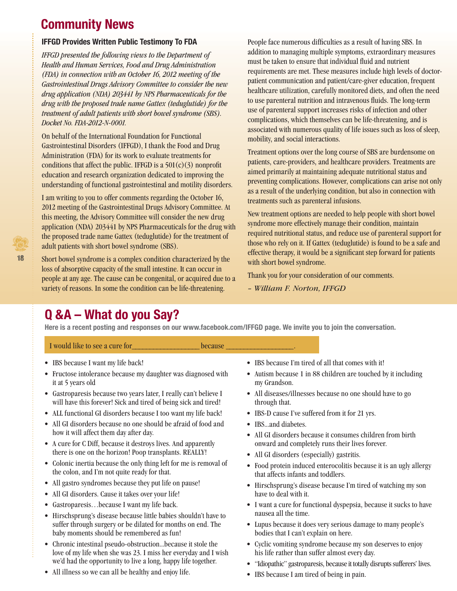#### **IFFGD Provides Written Public Testimony To FDA**

*IFFGD presented the following views to the Department of Health and Human Services, Food and Drug Administration (FDA) in connection with an October 16, 2012 meeting of the Gastrointestinal Drugs Advisory Committee to consider the new drug application (NDA) 203441 by NPS Pharmaceuticals for the drug with the proposed trade name Gattex (teduglutide) for the treatment of adult patients with short bowel syndrome (SBS). Docket No. FDA-2012-N-0001.* 

On behalf of the International Foundation for Functional Gastrointestinal Disorders (IFFGD), I thank the Food and Drug Administration (FDA) for its work to evaluate treatments for conditions that affect the public. IFFGD is a  $501(c)(3)$  nonprofit education and research organization dedicated to improving the understanding of functional gastrointestinal and motility disorders.

I am writing to you to offer comments regarding the October 16, 2012 meeting of the Gastrointestinal Drugs Advisory Committee. At this meeting, the Advisory Committee will consider the new drug application (NDA) 203441 by NPS Pharmaceuticals for the drug with the proposed trade name Gattex (teduglutide) for the treatment of adult patients with short bowel syndrome (SBS).

Short bowel syndrome is a complex condition characterized by the loss of absorptive capacity of the small intestine. It can occur in people at any age. The cause can be congenital, or acquired due to a variety of reasons. In some the condition can be life-threatening.

People face numerous difficulties as a result of having SBS. In addition to managing multiple symptoms, extraordinary measures must be taken to ensure that individual fluid and nutrient requirements are met. These measures include high levels of doctorpatient communication and patient/care-giver education, frequent healthcare utilization, carefully monitored diets, and often the need to use parenteral nutrition and intravenous fluids. The long-term use of parenteral support increases risks of infection and other complications, which themselves can be life-threatening, and is associated with numerous quality of life issues such as loss of sleep, mobility, and social interactions.

Treatment options over the long course of SBS are burdensome on patients, care-providers, and healthcare providers. Treatments are aimed primarily at maintaining adequate nutritional status and preventing complications. However, complications can arise not only as a result of the underlying condition, but also in connection with treatments such as parenteral infusions.

New treatment options are needed to help people with short bowel syndrome more effectively manage their condition, maintain required nutritional status, and reduce use of parenteral support for those who rely on it. If Gattex (teduglutide) is found to be a safe and effective therapy, it would be a significant step forward for patients with short bowel syndrome.

Thank you for your consideration of our comments.

*– William F. Norton, IFFGD*

## **Q &A – What do you Say?**

**Here is a recent posting and responses on our www.facebook.com/IFFGD page. We invite you to join the conversation.**

I would like to see a cure for **leading the because** <u>containing</u>

- IBS because I want my life back!
- Fructose intolerance because my daughter was diagnosed with it at 5 years old
- Gastroparesis because two years later, I really can't believe I will have this forever! Sick and tired of being sick and tired!
- ALL functional GI disorders because I too want my life back!
- All GI disorders because no one should be afraid of food and how it will affect them day after day.
- A cure for C Diff, because it destroys lives. And apparently there is one on the horizon! Poop transplants. REALLY!
- Colonic inertia because the only thing left for me is removal of the colon, and I'm not quite ready for that.
- All gastro syndromes because they put life on pause!
- All GI disorders. Cause it takes over your life!
- Gastroparesis…because I want my life back.
- Hirschsprung's disease because little babies shouldn't have to suffer through surgery or be dilated for months on end. The baby moments should be remembered as fun!
- Chronic intestinal pseudo-obstruction...because it stole the love of my life when she was 23. I miss her everyday and I wish we'd had the opportunity to live a long, happy life together.
- All illness so we can all be healthy and enjoy life.
- IBS because I'm tired of all that comes with it!
- Autism because 1 in 88 children are touched by it including my Grandson.
- All diseases/illnesses because no one should have to go through that.
- IBS-D cause I've suffered from it for 21 yrs.
- IBS...and diabetes.
- All GI disorders because it consumes children from birth onward and completely runs their lives forever.
- All GI disorders (especially) gastritis.
- Food protein induced enterocolitis because it is an ugly allergy that affects infants and toddlers.
- Hirschsprung's disease because I'm tired of watching my son have to deal with it.
- I want a cure for functional dyspepsia, because it sucks to have nausea all the time.
- Lupus because it does very serious damage to many people's bodies that I can't explain on here.
- Cyclic vomiting syndrome because my son deserves to enjoy his life rather than suffer almost every day.
- "Idiopathic" gastroparesis, because it totally disrupts sufferers' lives.
- IBS because I am tired of being in pain.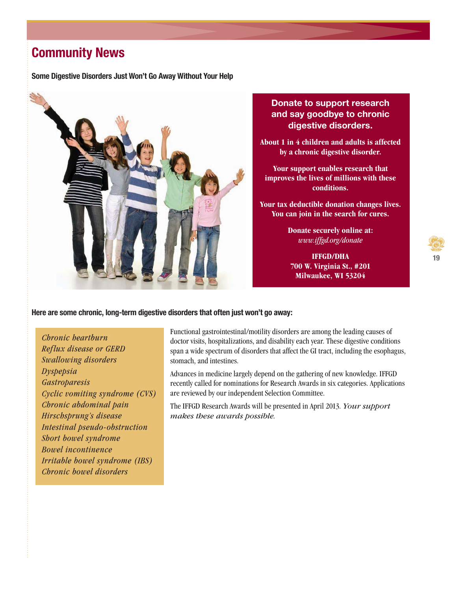**Some Digestive Disorders Just Won't Go Away Without Your Help**



**Donate to support research and say goodbye to chronic digestive disorders.**

**About 1 in 4 children and adults is affected by a chronic digestive disorder.** 

**Your support enables research that improves the lives of millions with these conditions.**

**Your tax deductible donation changes lives. You can join in the search for cures.**

> **Donate securely online at:**  *www.iffgd.org/donate*

**IFFGD/DHA 700 W. Virginia St., #201 Milwaukee, WI 53204**

#### **Here are some chronic, long-term digestive disorders that often just won't go away:**

*Chronic heartburn Reflux disease or GERD Swallowing disorders Dyspepsia Gastroparesis Cyclic vomiting syndrome (CVS) Chronic abdominal pain Hirschsprung's disease Intestinal pseudo-obstruction Short bowel syndrome Bowel incontinence Irritable bowel syndrome (IBS) Chronic bowel disorders*

Functional gastrointestinal/motility disorders are among the leading causes of doctor visits, hospitalizations, and disability each year. These digestive conditions span a wide spectrum of disorders that affect the GI tract, including the esophagus, stomach, and intestines.

Advances in medicine largely depend on the gathering of new knowledge. IFFGD recently called for nominations for Research Awards in six categories. Applications are reviewed by our independent Selection Committee.

The IFFGD Research Awards will be presented in April 2013. *Your support makes these awards possible.*